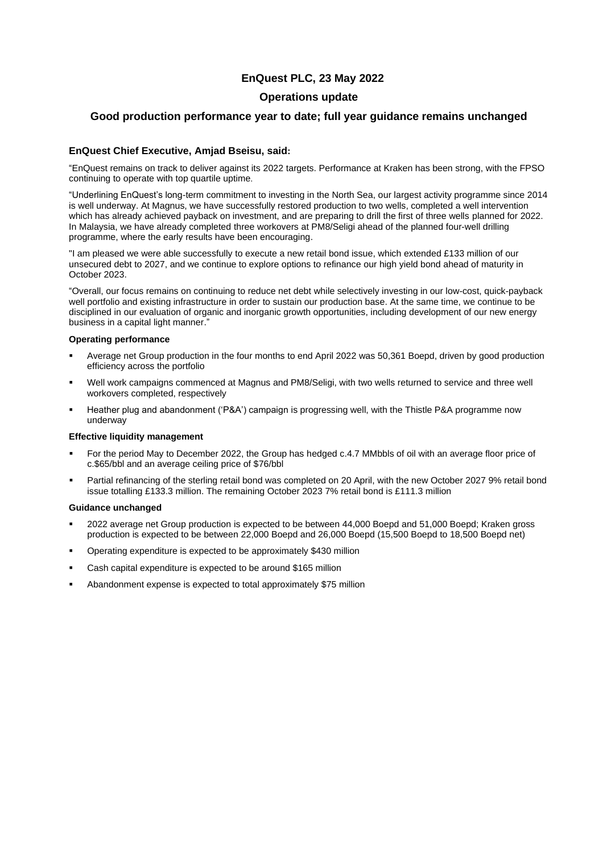# **EnQuest PLC, 23 May 2022**

# **Operations update**

# **Good production performance year to date; full year guidance remains unchanged**

# **EnQuest Chief Executive, Amjad Bseisu, said:**

"EnQuest remains on track to deliver against its 2022 targets. Performance at Kraken has been strong, with the FPSO continuing to operate with top quartile uptime.

"Underlining EnQuest's long-term commitment to investing in the North Sea, our largest activity programme since 2014 is well underway. At Magnus, we have successfully restored production to two wells, completed a well intervention which has already achieved payback on investment, and are preparing to drill the first of three wells planned for 2022. In Malaysia, we have already completed three workovers at PM8/Seligi ahead of the planned four-well drilling programme, where the early results have been encouraging.

"I am pleased we were able successfully to execute a new retail bond issue, which extended £133 million of our unsecured debt to 2027, and we continue to explore options to refinance our high yield bond ahead of maturity in October 2023.

"Overall, our focus remains on continuing to reduce net debt while selectively investing in our low-cost, quick-payback well portfolio and existing infrastructure in order to sustain our production base. At the same time, we continue to be disciplined in our evaluation of organic and inorganic growth opportunities, including development of our new energy business in a capital light manner."

## **Operating performance**

- Average net Group production in the four months to end April 2022 was 50,361 Boepd, driven by good production efficiency across the portfolio
- Well work campaigns commenced at Magnus and PM8/Seligi, with two wells returned to service and three well workovers completed, respectively
- Heather plug and abandonment ('P&A') campaign is progressing well, with the Thistle P&A programme now underway

## **Effective liquidity management**

- For the period May to December 2022, the Group has hedged c.4.7 MMbbls of oil with an average floor price of c.\$65/bbl and an average ceiling price of \$76/bbl
- Partial refinancing of the sterling retail bond was completed on 20 April, with the new October 2027 9% retail bond issue totalling £133.3 million. The remaining October 2023 7% retail bond is £111.3 million

# **Guidance unchanged**

- 2022 average net Group production is expected to be between 44,000 Boepd and 51,000 Boepd; Kraken gross production is expected to be between 22,000 Boepd and 26,000 Boepd (15,500 Boepd to 18,500 Boepd net)
- Operating expenditure is expected to be approximately \$430 million
- Cash capital expenditure is expected to be around \$165 million
- Abandonment expense is expected to total approximately \$75 million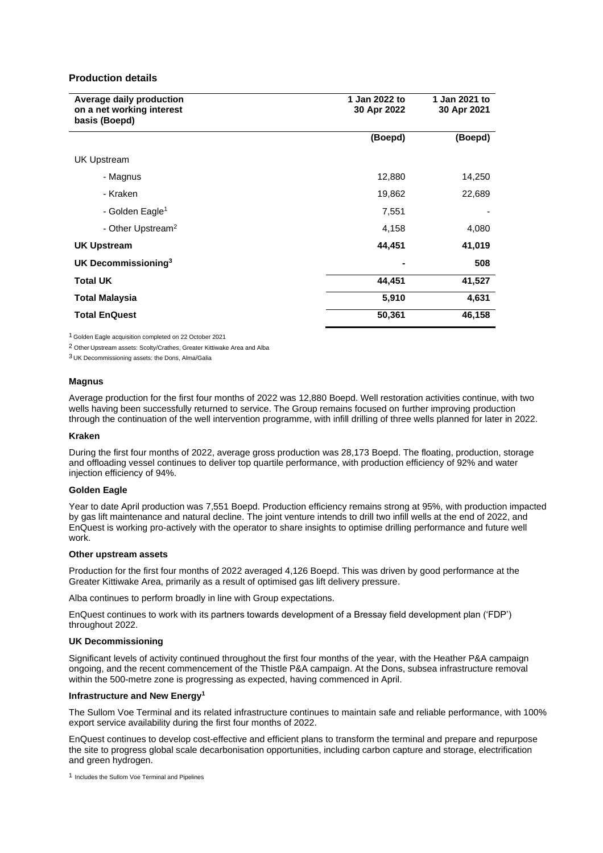### **Production details**

| Average daily production<br>on a net working interest<br>basis (Boepd) | 1 Jan 2022 to<br>30 Apr 2022 | 1 Jan 2021 to<br>30 Apr 2021 |
|------------------------------------------------------------------------|------------------------------|------------------------------|
|                                                                        | (Boepd)                      | (Boepd)                      |
| <b>UK Upstream</b>                                                     |                              |                              |
| - Magnus                                                               | 12,880                       | 14,250                       |
| - Kraken                                                               | 19,862                       | 22,689                       |
| - Golden Eagle <sup>1</sup>                                            | 7,551                        |                              |
| - Other Upstream <sup>2</sup>                                          | 4,158                        | 4,080                        |
| <b>UK Upstream</b>                                                     | 44,451                       | 41,019                       |
| UK Decommissioning <sup>3</sup>                                        |                              | 508                          |
| <b>Total UK</b>                                                        | 44,451                       | 41,527                       |
| <b>Total Malaysia</b>                                                  | 5,910                        | 4,631                        |
| <b>Total EnQuest</b>                                                   | 50,361                       | 46,158                       |

1 Golden Eagle acquisition completed on 22 October 2021

2 Other Upstream assets: Scolty/Crathes, Greater Kittiwake Area and Alba

3 UK Decommissioning assets: the Dons, Alma/Galia

### **Magnus**

Average production for the first four months of 2022 was 12,880 Boepd. Well restoration activities continue, with two wells having been successfully returned to service. The Group remains focused on further improving production through the continuation of the well intervention programme, with infill drilling of three wells planned for later in 2022.

#### **Kraken**

During the first four months of 2022, average gross production was 28,173 Boepd. The floating, production, storage and offloading vessel continues to deliver top quartile performance, with production efficiency of 92% and water injection efficiency of 94%.

#### **Golden Eagle**

Year to date April production was 7,551 Boepd. Production efficiency remains strong at 95%, with production impacted by gas lift maintenance and natural decline. The joint venture intends to drill two infill wells at the end of 2022, and EnQuest is working pro-actively with the operator to share insights to optimise drilling performance and future well work.

### **Other upstream assets**

Production for the first four months of 2022 averaged 4,126 Boepd. This was driven by good performance at the Greater Kittiwake Area, primarily as a result of optimised gas lift delivery pressure.

Alba continues to perform broadly in line with Group expectations.

EnQuest continues to work with its partners towards development of a Bressay field development plan ('FDP') throughout 2022.

#### **UK Decommissioning**

Significant levels of activity continued throughout the first four months of the year, with the Heather P&A campaign ongoing, and the recent commencement of the Thistle P&A campaign. At the Dons, subsea infrastructure removal within the 500-metre zone is progressing as expected, having commenced in April.

#### **Infrastructure and New Energy<sup>1</sup>**

The Sullom Voe Terminal and its related infrastructure continues to maintain safe and reliable performance, with 100% export service availability during the first four months of 2022.

EnQuest continues to develop cost-effective and efficient plans to transform the terminal and prepare and repurpose the site to progress global scale decarbonisation opportunities, including carbon capture and storage, electrification and green hydrogen.

1 Includes the Sullom Voe Terminal and Pipelines